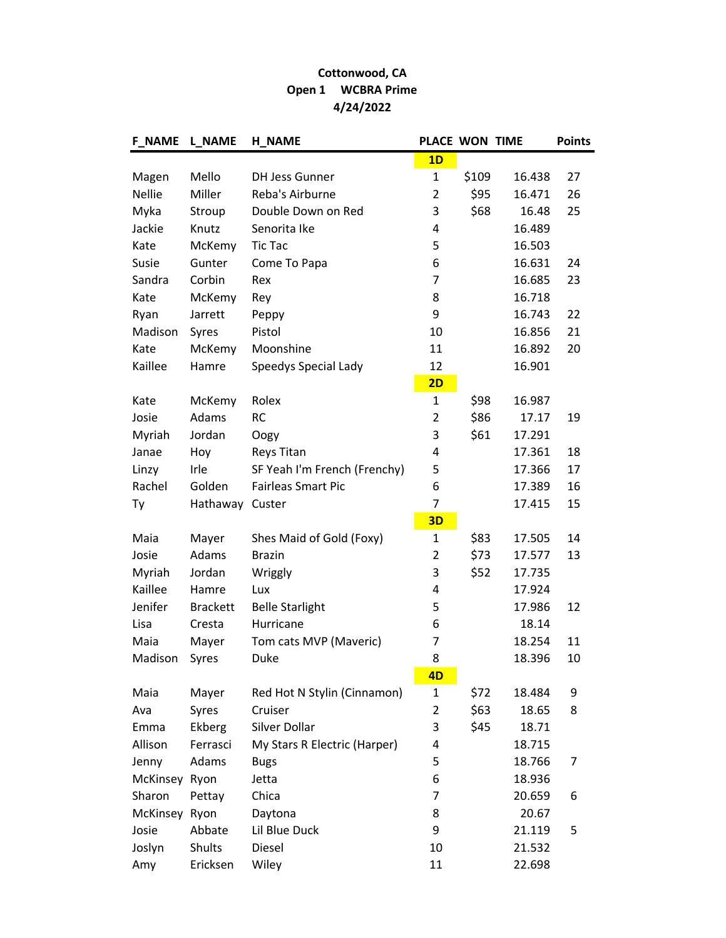## Cottonwood, CA Open 1 WCBRA Prime 4/24/2022

| <b>F NAME</b> | <b>L_NAME</b>   | <b>H_NAME</b>                | <b>PLACE WON TIME</b> |       |        | <b>Points</b> |
|---------------|-----------------|------------------------------|-----------------------|-------|--------|---------------|
|               |                 |                              | 1D                    |       |        |               |
| Magen         | Mello           | <b>DH Jess Gunner</b>        | $\mathbf{1}$          | \$109 | 16.438 | 27            |
| <b>Nellie</b> | Miller          | Reba's Airburne              | $\overline{2}$        | \$95  | 16.471 | 26            |
| Myka          | Stroup          | Double Down on Red           | 3                     | \$68  | 16.48  | 25            |
| Jackie        | Knutz           | Senorita Ike                 | 4                     |       | 16.489 |               |
| Kate          | McKemy          | <b>Tic Tac</b>               | 5                     |       | 16.503 |               |
| Susie         | Gunter          | Come To Papa                 | 6                     |       | 16.631 | 24            |
| Sandra        | Corbin          | Rex                          | $\overline{7}$        |       | 16.685 | 23            |
| Kate          | McKemy          | Rey                          | 8                     |       | 16.718 |               |
| Ryan          | Jarrett         | Peppy                        | 9                     |       | 16.743 | 22            |
| Madison       | Syres           | Pistol                       | 10                    |       | 16.856 | 21            |
| Kate          | McKemy          | Moonshine                    | 11                    |       | 16.892 | 20            |
| Kaillee       | Hamre           | Speedys Special Lady         | 12                    |       | 16.901 |               |
|               |                 |                              | 2D                    |       |        |               |
| Kate          | McKemy          | Rolex                        | $\mathbf{1}$          | \$98  | 16.987 |               |
| Josie         | Adams           | <b>RC</b>                    | $\overline{2}$        | \$86  | 17.17  | 19            |
| Myriah        | Jordan          | Oogy                         | 3                     | \$61  | 17.291 |               |
| Janae         | Hoy             | <b>Reys Titan</b>            | 4                     |       | 17.361 | 18            |
| Linzy         | Irle            | SF Yeah I'm French (Frenchy) | 5                     |       | 17.366 | 17            |
| Rachel        | Golden          | <b>Fairleas Smart Pic</b>    | 6                     |       | 17.389 | 16            |
| Ty            | Hathaway        | Custer                       | $\overline{7}$        |       | 17.415 | 15            |
|               |                 |                              | 3D                    |       |        |               |
| Maia          | Mayer           | Shes Maid of Gold (Foxy)     | $\mathbf{1}$          | \$83  | 17.505 | 14            |
| Josie         | Adams           | <b>Brazin</b>                | $\overline{2}$        | \$73  | 17.577 | 13            |
| Myriah        | Jordan          | Wriggly                      | 3                     | \$52  | 17.735 |               |
| Kaillee       | Hamre           | Lux                          | 4                     |       | 17.924 |               |
| Jenifer       | <b>Brackett</b> | <b>Belle Starlight</b>       | 5                     |       | 17.986 | 12            |
| Lisa          | Cresta          | Hurricane                    | 6                     |       | 18.14  |               |
| Maia          | Mayer           | Tom cats MVP (Maveric)       | 7                     |       | 18.254 | 11            |
| Madison       | Syres           | Duke                         | 8                     |       | 18.396 | 10            |
|               |                 |                              | 4D                    |       |        |               |
| Maia          | Mayer           | Red Hot N Stylin (Cinnamon)  | $\mathbf{1}$          | \$72  | 18.484 | 9             |
| Ava           | Syres           | Cruiser                      | $\overline{2}$        | \$63  | 18.65  | 8             |
| Emma          | Ekberg          | Silver Dollar                | 3                     | \$45  | 18.71  |               |
| Allison       | Ferrasci        | My Stars R Electric (Harper) | 4                     |       | 18.715 |               |
| Jenny         | Adams           | <b>Bugs</b>                  | 5                     |       | 18.766 | 7             |
| McKinsey Ryon |                 | Jetta                        | 6                     |       | 18.936 |               |
| Sharon        | Pettay          | Chica                        | 7                     |       | 20.659 | 6             |
| McKinsey Ryon |                 | Daytona                      | 8                     |       | 20.67  |               |
| Josie         | Abbate          | Lil Blue Duck                | 9                     |       | 21.119 | 5             |
| Joslyn        | Shults          | Diesel                       | 10                    |       | 21.532 |               |
| Amy           | Ericksen        | Wiley                        | 11                    |       | 22.698 |               |